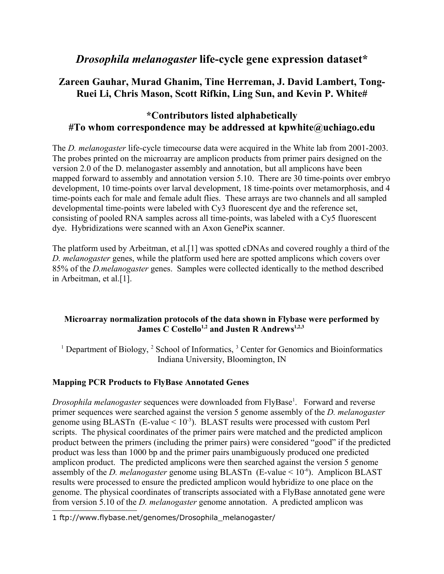# *Drosophila melanogaster* **life-cycle gene expression dataset\***

# **Zareen Gauhar, Murad Ghanim, Tine Herreman, J. David Lambert, Tong-Ruei Li, Chris Mason, Scott Rifkin, Ling Sun, and Kevin P. White#**

# **\*Contributors listed alphabetically #To whom correspondence may be addressed at kpwhite@uchiago.edu**

The *D. melanogaster* life-cycle timecourse data were acquired in the White lab from 2001-2003. The probes printed on the microarray are amplicon products from primer pairs designed on the version 2.0 of the D. melanogaster assembly and annotation, but all amplicons have been mapped forward to assembly and annotation version 5.10. There are 30 time-points over embryo development, 10 time-points over larval development, 18 time-points over metamorphosis, and 4 time-points each for male and female adult flies. These arrays are two channels and all sampled developmental time-points were labeled with Cy3 fluorescent dye and the reference set, consisting of pooled RNA samples across all time-points, was labeled with a Cy5 fluorescent dye. Hybridizations were scanned with an Axon GenePix scanner.

The platform used by Arbeitman, et al.[1] was spotted cDNAs and covered roughly a third of the *D. melanogaster* genes, while the platform used here are spotted amplicons which covers over 85% of the *D.melanogaster* genes. Samples were collected identically to the method described in Arbeitman, et al.[1].

### **Microarray normalization protocols of the data shown in Flybase were performed by James C Costello1,2 and Justen R Andrews1,2,3**

<sup>1</sup> Department of Biology,  $^2$  School of Informatics,  $^3$  Center for Genomics and Bioinformatics Indiana University, Bloomington, IN

### **Mapping PCR Products to FlyBase Annotated Genes**

Drosophila melanogaster sequences were downloaded from FlyBase<sup>[1](#page-0-0)</sup>. Forward and reverse primer sequences were searched against the version 5 genome assembly of the *D. melanogaster* genome using BLASTn (E-value  $\leq 10^{-3}$ ). BLAST results were processed with custom Perl scripts. The physical coordinates of the primer pairs were matched and the predicted amplicon product between the primers (including the primer pairs) were considered "good" if the predicted product was less than 1000 bp and the primer pairs unambiguously produced one predicted amplicon product. The predicted amplicons were then searched against the version 5 genome assembly of the *D. melanogaster* genome using BLASTn (E-value  $\leq 10^{-6}$ ). Amplicon BLAST results were processed to ensure the predicted amplicon would hybridize to one place on the genome. The physical coordinates of transcripts associated with a FlyBase annotated gene were from version 5.10 of the *D. melanogaster* genome annotation. A predicted amplicon was

<span id="page-0-0"></span><sup>1</sup> ftp://www.flybase.net/genomes/Drosophila\_melanogaster/